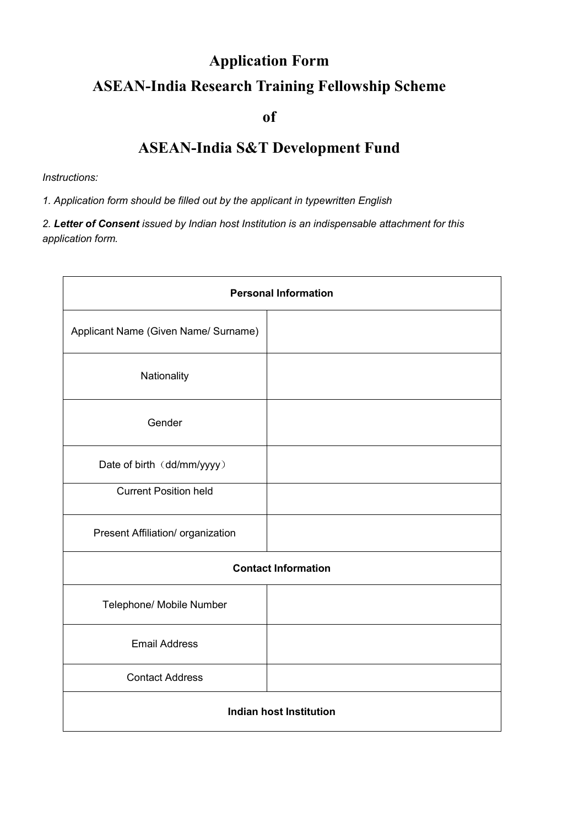# **Application Form ASEAN-India Research Training Fellowship Scheme**

### **of**

## **ASEAN-India S&T Development Fund**

#### *Instructions:*

*1. Application form should be filled out by the applicant in typewritten English* 

*2. Letter of Consent issued by Indian host Institution is an indispensable attachment for this application form.* 

| <b>Personal Information</b>          |  |  |
|--------------------------------------|--|--|
| Applicant Name (Given Name/ Surname) |  |  |
| Nationality                          |  |  |
| Gender                               |  |  |
| Date of birth (dd/mm/yyyy)           |  |  |
| <b>Current Position held</b>         |  |  |
| Present Affiliation/ organization    |  |  |
| <b>Contact Information</b>           |  |  |
| Telephone/ Mobile Number             |  |  |
| <b>Email Address</b>                 |  |  |
| <b>Contact Address</b>               |  |  |
| <b>Indian host Institution</b>       |  |  |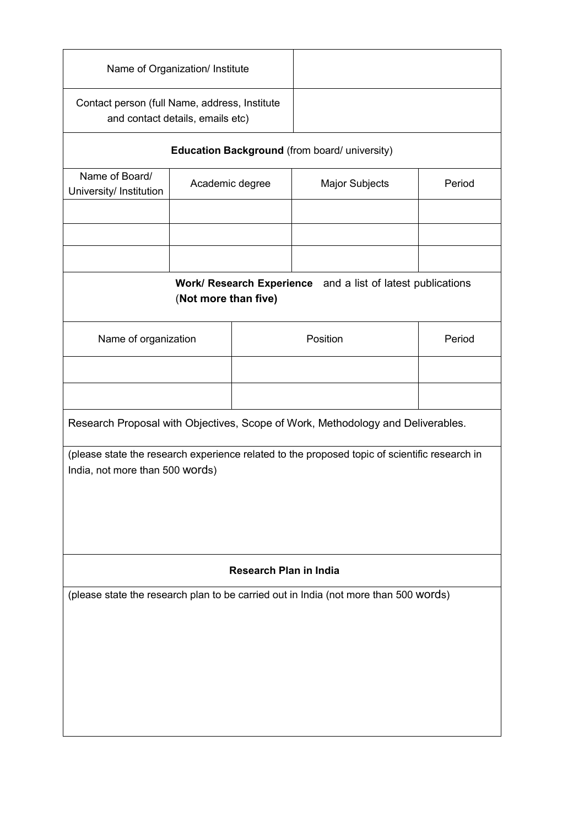| Contact person (full Name, address, Institute<br>and contact details, emails etc)<br>Academic degree                             |                                                                                     | Education Background (from board/ university)<br>Major Subjects | Period                                                                               |  |  |
|----------------------------------------------------------------------------------------------------------------------------------|-------------------------------------------------------------------------------------|-----------------------------------------------------------------|--------------------------------------------------------------------------------------|--|--|
|                                                                                                                                  |                                                                                     |                                                                 |                                                                                      |  |  |
|                                                                                                                                  |                                                                                     |                                                                 |                                                                                      |  |  |
|                                                                                                                                  |                                                                                     |                                                                 |                                                                                      |  |  |
|                                                                                                                                  |                                                                                     |                                                                 |                                                                                      |  |  |
|                                                                                                                                  |                                                                                     |                                                                 |                                                                                      |  |  |
|                                                                                                                                  | Work/ Research Experience and a list of latest publications<br>(Not more than five) |                                                                 |                                                                                      |  |  |
| Name of organization                                                                                                             |                                                                                     | Position                                                        | Period                                                                               |  |  |
|                                                                                                                                  |                                                                                     |                                                                 |                                                                                      |  |  |
|                                                                                                                                  |                                                                                     |                                                                 |                                                                                      |  |  |
| Research Proposal with Objectives, Scope of Work, Methodology and Deliverables.                                                  |                                                                                     |                                                                 |                                                                                      |  |  |
| (please state the research experience related to the proposed topic of scientific research in<br>India, not more than 500 words) |                                                                                     |                                                                 |                                                                                      |  |  |
| <b>Research Plan in India</b>                                                                                                    |                                                                                     |                                                                 |                                                                                      |  |  |
|                                                                                                                                  |                                                                                     |                                                                 |                                                                                      |  |  |
|                                                                                                                                  |                                                                                     |                                                                 | (please state the research plan to be carried out in India (not more than 500 words) |  |  |